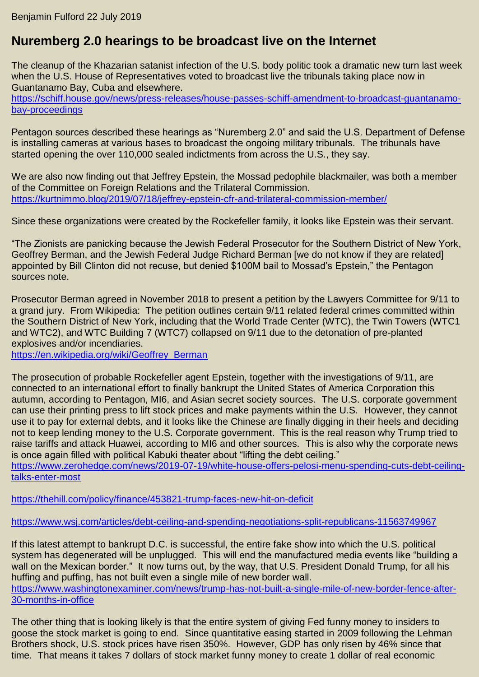## **Nuremberg 2.0 hearings to be broadcast live on the Internet**

The cleanup of the Khazarian satanist infection of the U.S. body politic took a dramatic new turn last week when the U.S. House of Representatives voted to broadcast live the tribunals taking place now in Guantanamo Bay, Cuba and elsewhere.

[https://schiff.house.gov/news/press-releases/house-passes-schiff-amendment-to-broadcast-guantanamo](https://schiff.house.gov/news/press-releases/house-passes-schiff-amendment-to-broadcast-guantanamo-bay-proceedings)[bay-proceedings](https://schiff.house.gov/news/press-releases/house-passes-schiff-amendment-to-broadcast-guantanamo-bay-proceedings)

Pentagon sources described these hearings as "Nuremberg 2.0" and said the U.S. Department of Defense is installing cameras at various bases to broadcast the ongoing military tribunals. The tribunals have started opening the over 110,000 sealed indictments from across the U.S., they say.

We are also now finding out that Jeffrey Epstein, the Mossad pedophile blackmailer, was both a member of the Committee on Foreign Relations and the Trilateral Commission. <https://kurtnimmo.blog/2019/07/18/jeffrey-epstein-cfr-and-trilateral-commission-member/>

Since these organizations were created by the Rockefeller family, it looks like Epstein was their servant.

"The Zionists are panicking because the Jewish Federal Prosecutor for the Southern District of New York, Geoffrey Berman, and the Jewish Federal Judge Richard Berman [we do not know if they are related] appointed by Bill Clinton did not recuse, but denied \$100M bail to Mossad's Epstein," the Pentagon sources note.

Prosecutor Berman agreed in November 2018 to present a petition by the Lawyers Committee for 9/11 to a grand jury. From Wikipedia: The petition outlines certain 9/11 related federal crimes committed within the Southern District of New York, including that the World Trade Center (WTC), the Twin Towers (WTC1 and WTC2), and WTC Building 7 (WTC7) collapsed on 9/11 due to the detonation of pre-planted explosives and/or incendiaries.

[https://en.wikipedia.org/wiki/Geoffrey\\_Berman](https://en.wikipedia.org/wiki/Geoffrey_Berman)

The prosecution of probable Rockefeller agent Epstein, together with the investigations of 9/11, are connected to an international effort to finally bankrupt the United States of America Corporation this autumn, according to Pentagon, MI6, and Asian secret society sources. The U.S. corporate government can use their printing press to lift stock prices and make payments within the U.S. However, they cannot use it to pay for external debts, and it looks like the Chinese are finally digging in their heels and deciding not to keep lending money to the U.S. Corporate government. This is the real reason why Trump tried to raise tariffs and attack Huawei, according to MI6 and other sources. This is also why the corporate news is once again filled with political Kabuki theater about "lifting the debt ceiling."

[https://www.zerohedge.com/news/2019-07-19/white-house-offers-pelosi-menu-spending-cuts-debt-ceiling](https://www.zerohedge.com/news/2019-07-19/white-house-offers-pelosi-menu-spending-cuts-debt-ceiling-talks-enter-most)[talks-enter-most](https://www.zerohedge.com/news/2019-07-19/white-house-offers-pelosi-menu-spending-cuts-debt-ceiling-talks-enter-most)

<https://thehill.com/policy/finance/453821-trump-faces-new-hit-on-deficit>

<https://www.wsj.com/articles/debt-ceiling-and-spending-negotiations-split-republicans-11563749967>

If this latest attempt to bankrupt D.C. is successful, the entire fake show into which the U.S. political system has degenerated will be unplugged. This will end the manufactured media events like "building a wall on the Mexican border." It now turns out, by the way, that U.S. President Donald Trump, for all his huffing and puffing, has not built even a single mile of new border wall. [https://www.washingtonexaminer.com/news/trump-has-not-built-a-single-mile-of-new-border-fence-after-](https://www.washingtonexaminer.com/news/trump-has-not-built-a-single-mile-of-new-border-fence-after-30-months-in-office)[30-months-in-office](https://www.washingtonexaminer.com/news/trump-has-not-built-a-single-mile-of-new-border-fence-after-30-months-in-office)

The other thing that is looking likely is that the entire system of giving Fed funny money to insiders to goose the stock market is going to end. Since quantitative easing started in 2009 following the Lehman Brothers shock, U.S. stock prices have risen 350%. However, GDP has only risen by 46% since that time. That means it takes 7 dollars of stock market funny money to create 1 dollar of real economic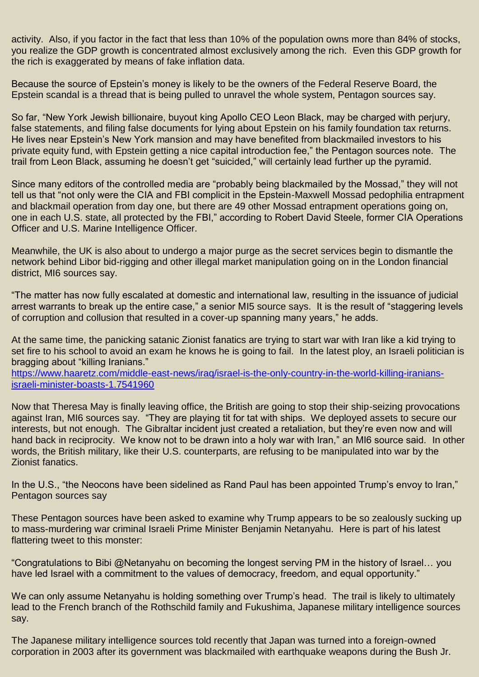activity. Also, if you factor in the fact that less than 10% of the population owns more than 84% of stocks, you realize the GDP growth is concentrated almost exclusively among the rich. Even this GDP growth for the rich is exaggerated by means of fake inflation data.

Because the source of Epstein's money is likely to be the owners of the Federal Reserve Board, the Epstein scandal is a thread that is being pulled to unravel the whole system, Pentagon sources say.

So far, "New York Jewish billionaire, buyout king Apollo CEO Leon Black, may be charged with perjury, false statements, and filing false documents for lying about Epstein on his family foundation tax returns. He lives near Epstein's New York mansion and may have benefited from blackmailed investors to his private equity fund, with Epstein getting a nice capital introduction fee," the Pentagon sources note. The trail from Leon Black, assuming he doesn't get "suicided," will certainly lead further up the pyramid.

Since many editors of the controlled media are "probably being blackmailed by the Mossad," they will not tell us that "not only were the CIA and FBI complicit in the Epstein-Maxwell Mossad pedophilia entrapment and blackmail operation from day one, but there are 49 other Mossad entrapment operations going on, one in each U.S. state, all protected by the FBI," according to Robert David Steele, former CIA Operations Officer and U.S. Marine Intelligence Officer.

Meanwhile, the UK is also about to undergo a major purge as the secret services begin to dismantle the network behind Libor bid-rigging and other illegal market manipulation going on in the London financial district, MI6 sources say.

"The matter has now fully escalated at domestic and international law, resulting in the issuance of judicial arrest warrants to break up the entire case," a senior MI5 source says. It is the result of "staggering levels of corruption and collusion that resulted in a cover-up spanning many years," he adds.

At the same time, the panicking satanic Zionist fanatics are trying to start war with Iran like a kid trying to set fire to his school to avoid an exam he knows he is going to fail. In the latest ploy, an Israeli politician is bragging about "killing Iranians."

[https://www.haaretz.com/middle-east-news/iraq/israel-is-the-only-country-in-the-world-killing-iranians](https://www.haaretz.com/middle-east-news/iraq/israel-is-the-only-country-in-the-world-killing-iranians-israeli-minister-boasts-1.7541960)[israeli-minister-boasts-1.7541960](https://www.haaretz.com/middle-east-news/iraq/israel-is-the-only-country-in-the-world-killing-iranians-israeli-minister-boasts-1.7541960)

Now that Theresa May is finally leaving office, the British are going to stop their ship-seizing provocations against Iran, MI6 sources say. "They are playing tit for tat with ships. We deployed assets to secure our interests, but not enough. The Gibraltar incident just created a retaliation, but they're even now and will hand back in reciprocity. We know not to be drawn into a holy war with Iran," an MI6 source said. In other words, the British military, like their U.S. counterparts, are refusing to be manipulated into war by the Zionist fanatics.

In the U.S., "the Neocons have been sidelined as Rand Paul has been appointed Trump's envoy to Iran," Pentagon sources say

These Pentagon sources have been asked to examine why Trump appears to be so zealously sucking up to mass-murdering war criminal Israeli Prime Minister Benjamin Netanyahu. Here is part of his latest flattering tweet to this monster:

"Congratulations to Bibi @Netanyahu on becoming the longest serving PM in the history of Israel… you have led Israel with a commitment to the values of democracy, freedom, and equal opportunity."

We can only assume Netanyahu is holding something over Trump's head. The trail is likely to ultimately lead to the French branch of the Rothschild family and Fukushima, Japanese military intelligence sources say.

The Japanese military intelligence sources told recently that Japan was turned into a foreign-owned corporation in 2003 after its government was blackmailed with earthquake weapons during the Bush Jr.